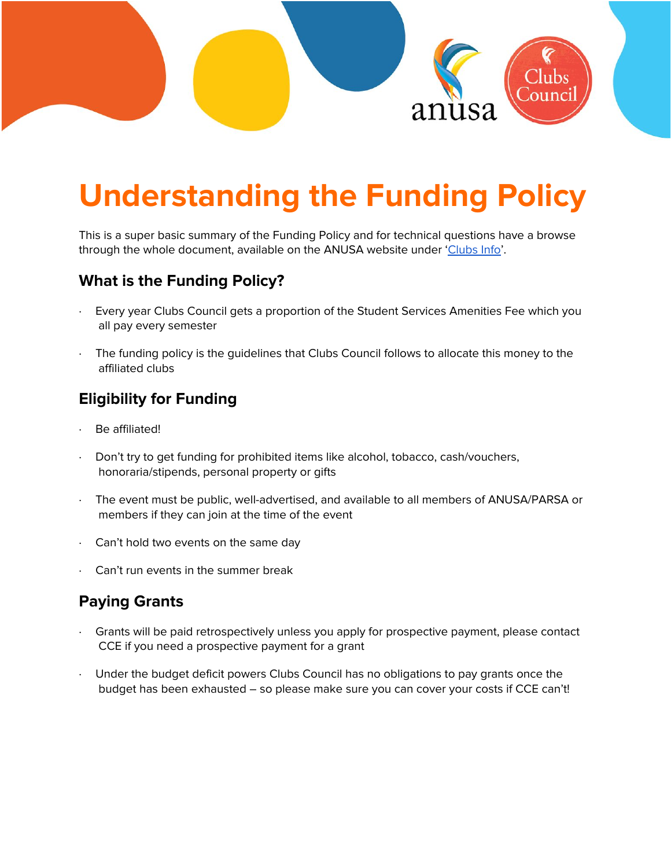

# **Understanding the Funding Policy**

This is a super basic summary of the Funding Policy and for technical questions have a browse through the whole document, available on the ANUSA website under '[Clubs](https://anusa.com.au/life/clubs/) Info'.

#### **What is the Funding Policy?**

- Every year Clubs Council gets a proportion of the Student Services Amenities Fee which you all pay every semester
- The funding policy is the guidelines that Clubs Council follows to allocate this money to the affiliated clubs

#### **Eligibility for Funding**

- Be affiliated!
- Don't try to get funding for prohibited items like alcohol, tobacco, cash/vouchers, honoraria/stipends, personal property or gifts
- The event must be public, well-advertised, and available to all members of ANUSA/PARSA or members if they can join at the time of the event
- Can't hold two events on the same day
- Can't run events in the summer break

# **Paying Grants**

- Grants will be paid retrospectively unless you apply for prospective payment, please contact CCE if you need a prospective payment for a grant
- Under the budget deficit powers Clubs Council has no obligations to pay grants once the budget has been exhausted – so please make sure you can cover your costs if CCE can't!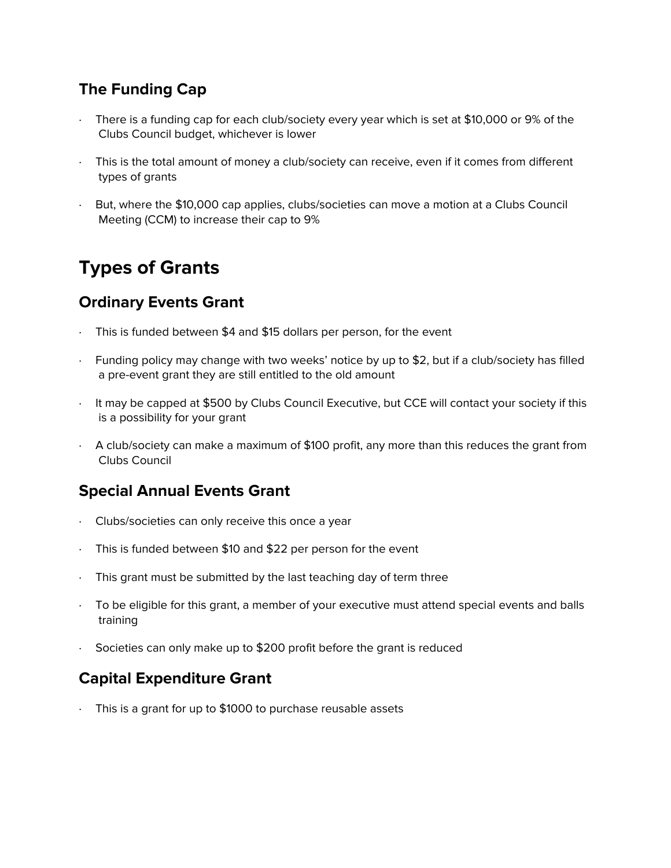## **The Funding Cap**

- There is a funding cap for each club/society every year which is set at \$10,000 or 9% of the Clubs Council budget, whichever is lower
- · This is the total amount of money a club/society can receive, even if it comes from different types of grants
- · But, where the \$10,000 cap applies, clubs/societies can move a motion at a Clubs Council Meeting (CCM) to increase their cap to 9%

# **Types of Grants**

#### **Ordinary Events Grant**

- This is funded between \$4 and \$15 dollars per person, for the event
- · Funding policy may change with two weeks' notice by up to \$2, but if a club/society has filled a pre-event grant they are still entitled to the old amount
- · It may be capped at \$500 by Clubs Council Executive, but CCE will contact your society if this is a possibility for your grant
- · A club/society can make a maximum of \$100 profit, any more than this reduces the grant from Clubs Council

#### **Special Annual Events Grant**

- · Clubs/societies can only receive this once a year
- · This is funded between \$10 and \$22 per person for the event
- · This grant must be submitted by the last teaching day of term three
- · To be eligible for this grant, a member of your executive must attend special events and balls training
- Societies can only make up to \$200 profit before the grant is reduced

#### **Capital Expenditure Grant**

This is a grant for up to \$1000 to purchase reusable assets